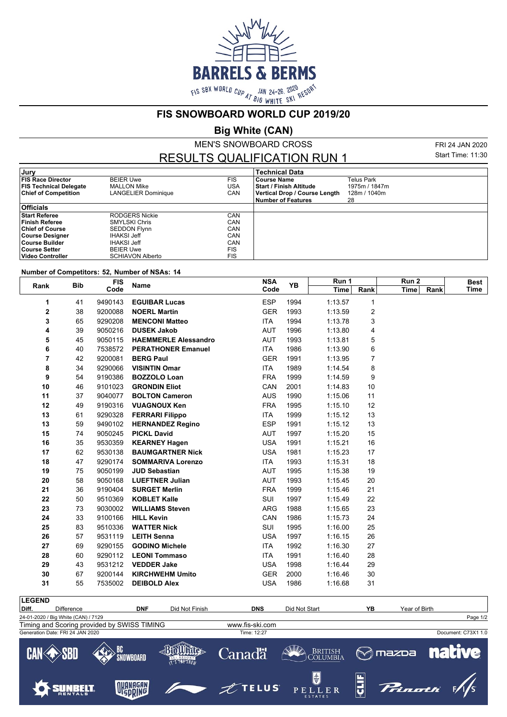

**FIS SNOWBOARD WORLD CUP 2019/20**

**Big White (CAN)**

MEN'S SNOWBOARD CROSS

RESULTS QUALIFICATION RUN 1

FRI 24 JAN 2020 Start Time: 11:30

| Jury                          |                         |            | Technical Data                |               |
|-------------------------------|-------------------------|------------|-------------------------------|---------------|
| <b>FIS Race Director</b>      | <b>BEIER Uwe</b>        | <b>FIS</b> | <b>Course Name</b>            | Telus Park    |
| <b>FIS Technical Delegate</b> | <b>MALLON Mike</b>      | USA        | l Start / Finish Altitude     | 1975m / 1847m |
| <b>Chief of Competition</b>   | LANGELIER Dominique     | CAN        | Vertical Drop / Course Length | 128m / 1040m  |
|                               |                         |            | <b>Number of Features</b>     | 28            |
| <b>Officials</b>              |                         |            |                               |               |
| <b>Start Referee</b>          | <b>RODGERS Nickie</b>   | CAN        |                               |               |
| Finish Referee                | <b>SMYLSKI Chris</b>    | CAN        |                               |               |
| <b>Chief of Course</b>        | <b>SEDDON Flynn</b>     | CAN        |                               |               |
| Course Designer               | <b>IHAKSI Jeff</b>      | CAN        |                               |               |
| ∣Course Builder               | <b>IHAKSI Jeff</b>      | CAN        |                               |               |
| Course Setter                 | <b>BEIER Uwe</b>        | <b>FIS</b> |                               |               |
| Video Controller              | <b>SCHIAVON Alberto</b> | <b>FIS</b> |                               |               |

## **Number of Competitors: 52, Number of NSAs: 14**

| <b>Bib</b><br>Rank |    | <b>FIS</b> | Name                        | <b>NSA</b> | YB   | Run 1   |      | Run 2        | <b>Best</b> |
|--------------------|----|------------|-----------------------------|------------|------|---------|------|--------------|-------------|
|                    |    | Code       |                             | Code       |      | Time    | Rank | Rank<br>Time | Time        |
| 1                  | 41 | 9490143    | <b>EGUIBAR Lucas</b>        | <b>ESP</b> | 1994 | 1:13.57 | 1    |              |             |
| 2                  | 38 | 9200088    | <b>NOERL Martin</b>         | <b>GER</b> | 1993 | 1:13.59 | 2    |              |             |
| 3                  | 65 | 9290208    | <b>MENCONI Matteo</b>       | ITA        | 1994 | 1:13.78 | 3    |              |             |
| 4                  | 39 | 9050216    | <b>DUSEK Jakob</b>          | <b>AUT</b> | 1996 | 1:13.80 | 4    |              |             |
| 5                  | 45 | 9050115    | <b>HAEMMERLE Alessandro</b> | <b>AUT</b> | 1993 | 1:13.81 | 5    |              |             |
| 6                  | 40 | 7538572    | <b>PERATHONER Emanuel</b>   | <b>ITA</b> | 1986 | 1:13.90 | 6    |              |             |
| 7                  | 42 | 9200081    | <b>BERG Paul</b>            | <b>GER</b> | 1991 | 1:13.95 | 7    |              |             |
| 8                  | 34 | 9290066    | <b>VISINTIN Omar</b>        | ITA        | 1989 | 1:14.54 | 8    |              |             |
| 9                  | 54 | 9190386    | <b>BOZZOLO Loan</b>         | <b>FRA</b> | 1999 | 1:14.59 | 9    |              |             |
| 10                 | 46 | 9101023    | <b>GRONDIN Eliot</b>        | CAN        | 2001 | 1:14.83 | 10   |              |             |
| 11                 | 37 | 9040077    | <b>BOLTON Cameron</b>       | <b>AUS</b> | 1990 | 1:15.06 | 11   |              |             |
| 12                 | 49 | 9190316    | <b>VUAGNOUX Ken</b>         | <b>FRA</b> | 1995 | 1:15.10 | 12   |              |             |
| 13                 | 61 | 9290328    | <b>FERRARI Filippo</b>      | ITA        | 1999 | 1:15.12 | 13   |              |             |
| 13                 | 59 | 9490102    | <b>HERNANDEZ Regino</b>     | <b>ESP</b> | 1991 | 1:15.12 | 13   |              |             |
| 15                 | 74 | 9050245    | <b>PICKL David</b>          | <b>AUT</b> | 1997 | 1:15.20 | 15   |              |             |
| 16                 | 35 | 9530359    | <b>KEARNEY Hagen</b>        | <b>USA</b> | 1991 | 1:15.21 | 16   |              |             |
| 17                 | 62 | 9530138    | <b>BAUMGARTNER Nick</b>     | <b>USA</b> | 1981 | 1:15.23 | 17   |              |             |
| 18                 | 47 | 9290174    | <b>SOMMARIVA Lorenzo</b>    | <b>ITA</b> | 1993 | 1:15.31 | 18   |              |             |
| 19                 | 75 | 9050199    | <b>JUD Sebastian</b>        | <b>AUT</b> | 1995 | 1:15.38 | 19   |              |             |
| 20                 | 58 | 9050168    | <b>LUEFTNER Julian</b>      | <b>AUT</b> | 1993 | 1:15.45 | 20   |              |             |
| 21                 | 36 | 9190404    | <b>SURGET Merlin</b>        | <b>FRA</b> | 1999 | 1:15.46 | 21   |              |             |
| 22                 | 50 | 9510369    | <b>KOBLET Kalle</b>         | SUI        | 1997 | 1:15.49 | 22   |              |             |
| 23                 | 73 | 9030002    | <b>WILLIAMS Steven</b>      | <b>ARG</b> | 1988 | 1:15.65 | 23   |              |             |
| 24                 | 33 | 9100166    | <b>HILL Kevin</b>           | CAN        | 1986 | 1:15.73 | 24   |              |             |
| 25                 | 83 | 9510336    | <b>WATTER Nick</b>          | SUI        | 1995 | 1:16.00 | 25   |              |             |
| 26                 | 57 | 9531119    | <b>LEITH Senna</b>          | <b>USA</b> | 1997 | 1:16.15 | 26   |              |             |
| 27                 | 69 | 9290155    | <b>GODINO Michele</b>       | <b>ITA</b> | 1992 | 1:16.30 | 27   |              |             |
| 28                 | 60 | 9290112    | <b>LEONI Tommaso</b>        | <b>ITA</b> | 1991 | 1:16.40 | 28   |              |             |
| 29                 | 43 | 9531212    | <b>VEDDER Jake</b>          | <b>USA</b> | 1998 | 1:16.44 | 29   |              |             |
| 30                 | 67 | 9200144    | <b>KIRCHWEHM Umito</b>      | <b>GER</b> | 2000 | 1:16.46 | 30   |              |             |
| 31                 | 55 | 7535002    | <b>DEIBOLD Alex</b>         | <b>USA</b> | 1986 | 1:16.68 | 31   |              |             |